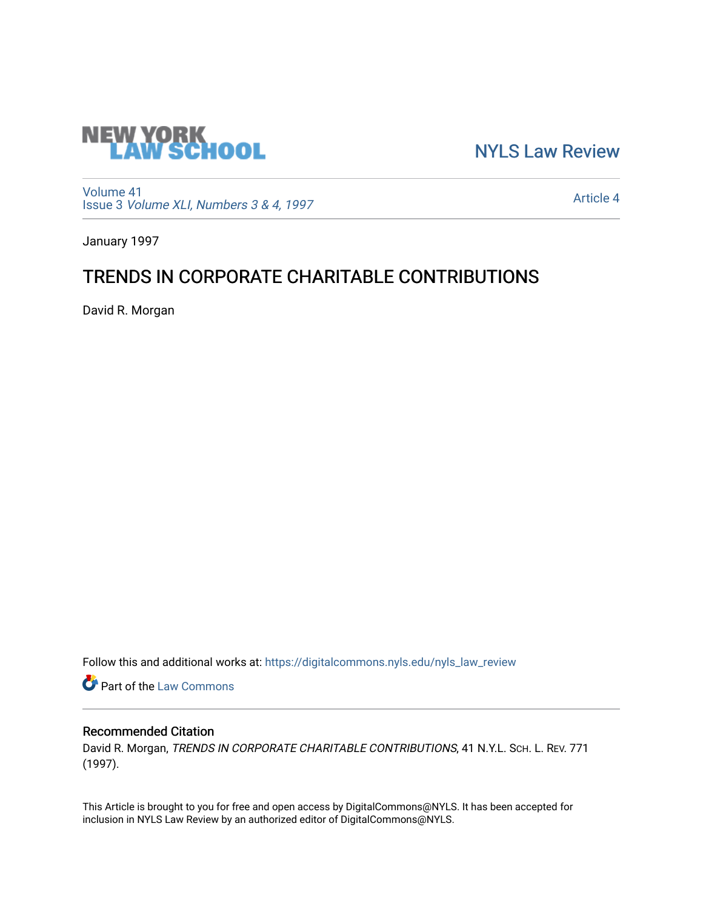

[NYLS Law Review](https://digitalcommons.nyls.edu/nyls_law_review) 

[Volume 41](https://digitalcommons.nyls.edu/nyls_law_review/vol41) Issue 3 [Volume XLI, Numbers 3 & 4, 1997](https://digitalcommons.nyls.edu/nyls_law_review/vol41/iss3)

[Article 4](https://digitalcommons.nyls.edu/nyls_law_review/vol41/iss3/4) 

January 1997

# TRENDS IN CORPORATE CHARITABLE CONTRIBUTIONS

David R. Morgan

Follow this and additional works at: [https://digitalcommons.nyls.edu/nyls\\_law\\_review](https://digitalcommons.nyls.edu/nyls_law_review?utm_source=digitalcommons.nyls.edu%2Fnyls_law_review%2Fvol41%2Fiss3%2F4&utm_medium=PDF&utm_campaign=PDFCoverPages) 

**Part of the [Law Commons](https://network.bepress.com/hgg/discipline/578?utm_source=digitalcommons.nyls.edu%2Fnyls_law_review%2Fvol41%2Fiss3%2F4&utm_medium=PDF&utm_campaign=PDFCoverPages)** 

## Recommended Citation

David R. Morgan, TRENDS IN CORPORATE CHARITABLE CONTRIBUTIONS, 41 N.Y.L. SCH. L. REV. 771 (1997).

This Article is brought to you for free and open access by DigitalCommons@NYLS. It has been accepted for inclusion in NYLS Law Review by an authorized editor of DigitalCommons@NYLS.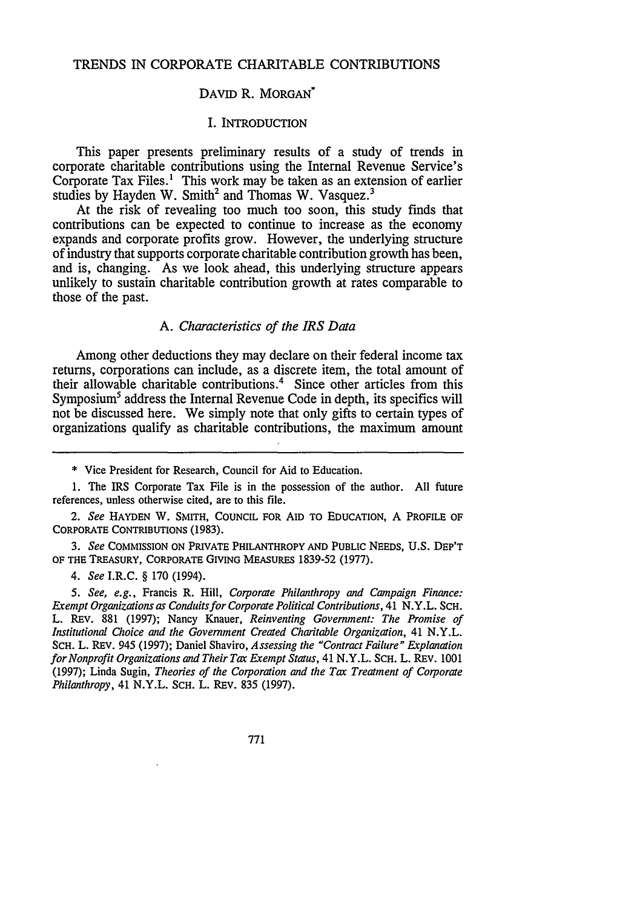## TRENDS IN CORPORATE CHARITABLE CONTRIBUTIONS

## DAVID R. MORGAN'

#### I. INTRODUCTION

This paper presents preliminary results of a study of trends in corporate charitable contributions using the Internal Revenue Service's Corporate Tax Files.' This work may be taken as an extension of earlier studies by Hayden W. Smith<sup>2</sup> and Thomas W. Vasquez.<sup>3</sup>

At the risk of revealing too much too soon, this study finds that contributions can be expected to continue to increase as the economy expands and corporate profits grow. However, the underlying structure of industry that supports corporate charitable contribution growth has been, and is, changing. As we look ahead, this underlying structure appears unlikely to sustain charitable contribution growth at rates comparable to those of the past.

## *A. Characteristics of the IRS Data*

Among other deductions they may declare on their federal income tax returns, corporations can include, as a discrete item, the total amount of their allowable charitable contributions.4 Since other articles from this Symposium<sup>5</sup> address the Internal Revenue Code in depth, its specifics will not be discussed here. We simply note that only gifts to certain types of organizations qualify as charitable contributions, the maximum amount

\* Vice President for Research, Council for Aid to Education.

1. The IRS Corporate Tax File is in the possession of the author. All future references, unless otherwise cited, are to this file.

*2. See* HAYDEN W. SMITH, COUNCIL FOR AID TO EDUCATION, A PROFILE OF CORPORATE CONTRIBUTIONS (1983).

*3. See* COMMISSION **ON** PRIVATE PHILANTHROPY AND PUBLIC **NEEDS, U.S.** DEP'T OF THE TREASURY, CORPORATE GIVING **MEASURES 1839-52 (1977).**

*4. See* I.R.C. § **170** (1994).

*5. See, e.g.,* Francis R. Hill, *Corporate Philanthropy and Campaign Finance: Exempt Organizations as Conduits for Corporate Political Contributions,* 41 N.Y.L. SCH. L. REv. 881 (1997); Nancy Knauer, *Reinventing Government: The Promise of Institutional Choice and the Government Created Charitable Organization,* 41 N.Y.L. SCH. L. REv. 945 (1997); Daniel Shaviro, *Assessing the "Contract Failure" Explanation for Nonprofit Organizations and Their Tat Exempt Status,* 41 N.Y.L. SCH. L. REV. 1001 (1997); Linda Sugin, *Theories of the Corporation and the Tax Treatment of Corporate Philanthropy,* 41 N.Y.L. SCH. L. REV. 835 (1997).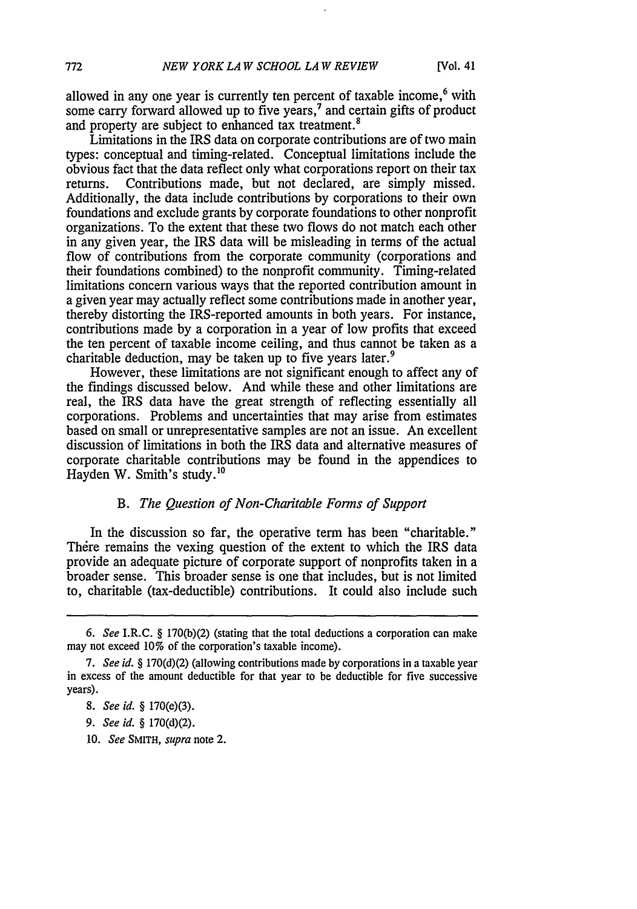allowed in any one year is currently ten percent of taxable income,<sup>6</sup> with some carry forward allowed up to five years, $<sup>7</sup>$  and certain gifts of product</sup> and property are subject to enhanced tax treatment.<sup>8</sup>

Limitations in the IRS data on corporate contributions are of two main types: conceptual and timing-related. Conceptual limitations include the obvious fact that the data reflect only what corporations report on their tax returns. Contributions made, but not declared, are simply missed. Additionally, the data include contributions by corporations to their own foundations and exclude grants by corporate foundations to other nonprofit organizations. To the extent that these two flows do not match each other in any given year, the IRS data will be misleading in terms of the actual flow of contributions from the corporate community (corporations and their foundations combined) to the nonprofit community. Timing-related limitations concern various ways that the reported contribution amount in a given year may actually reflect some contributions made in another year, thereby distorting the IRS-reported amounts in both years. For instance, contributions made by a corporation in a year of low profits that exceed the ten percent of taxable income ceiling, and thus cannot be taken as a charitable deduction, may be taken up to five years later.<sup>9</sup>

However, these limitations are not significant enough to affect any of the findings discussed below. And while these and other limitations are real, the IRS data have the great strength of reflecting essentially all corporations. Problems and uncertainties that may arise from estimates based on small or unrepresentative samples are not an issue. An excellent discussion of limitations in both the IRS data and alternative measures of corporate charitable contributions may be found in the appendices to Hayden W. Smith's study.'<sup>0</sup>

### *B. The Question of Non-Charitable Forms of Support*

In the discussion so far, the operative term has been "charitable." There remains the vexing question of the extent to which the IRS data provide an adequate picture of corporate support of nonprofits taken in a broader sense. This broader sense is one that includes, but is not limited to, charitable (tax-deductible) contributions. It could also include such

10. *See* SMITH, *supra* note 2.

*<sup>6.</sup> See* I.R.C. § 170(b)(2) (stating that the total deductions a corporation can make may not exceed 10% of the corporation's taxable income).

*<sup>7.</sup> See id.* § 170(d)(2) (allowing contributions made by corporations in a taxable year in excess of the amount deductible for that year to be deductible for five successive years).

*<sup>8.</sup> See id. §* 170(e)(3).

*<sup>9.</sup> See id.* § 170(d)(2).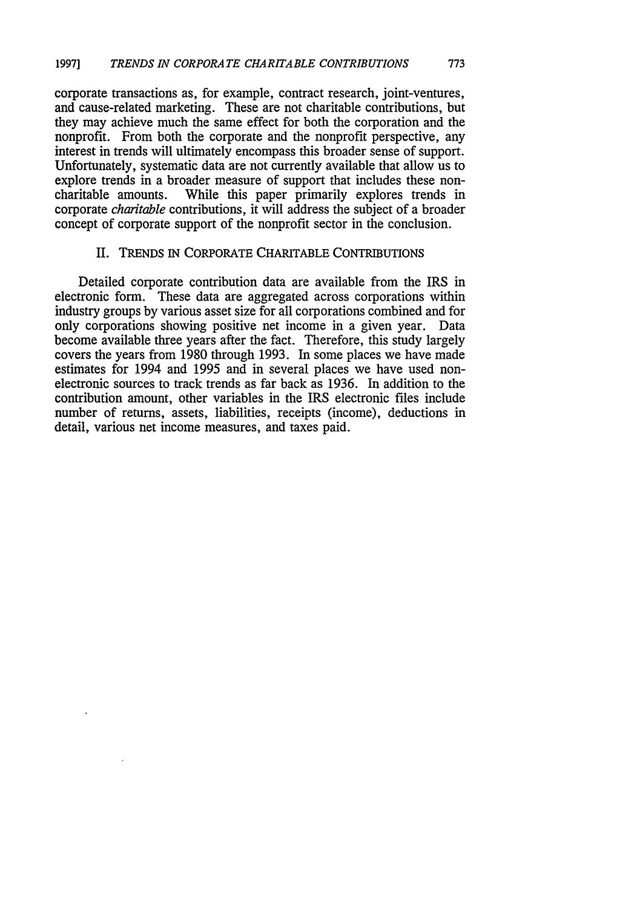corporate transactions as, for example, contract research, joint-ventures, and cause-related marketing. These are not charitable contributions, but they may achieve much the same effect for both the corporation and the nonprofit. From both the corporate and the nonprofit perspective, any interest in trends will ultimately encompass this broader sense of support. Unfortunately, systematic data are not currently available that allow us to explore trends in a broader measure of support that includes these noncharitable amounts. While this paper primarily explores trends in corporate *charitable* contributions, it will address the subject of a broader concept of corporate support of the nonprofit sector in the conclusion.

## II. TRENDS IN CORPORATE CHARITABLE CONTRIBUTIONS

Detailed corporate contribution data are available from the IRS in electronic form. These data are aggregated across corporations within industry groups by various asset size for all corporations combined and for only corporations showing positive net income in a given year. Data become available three years after the fact. Therefore, this study largely covers the years from 1980 through 1993. In some places we have made estimates for 1994 and 1995 and in several places we have used nonelectronic sources to track trends as far back as 1936. In addition to the contribution amount, other variables in the IRS electronic files include number of returns, assets, liabilities, receipts (income), deductions in detail, various net income measures, and taxes paid.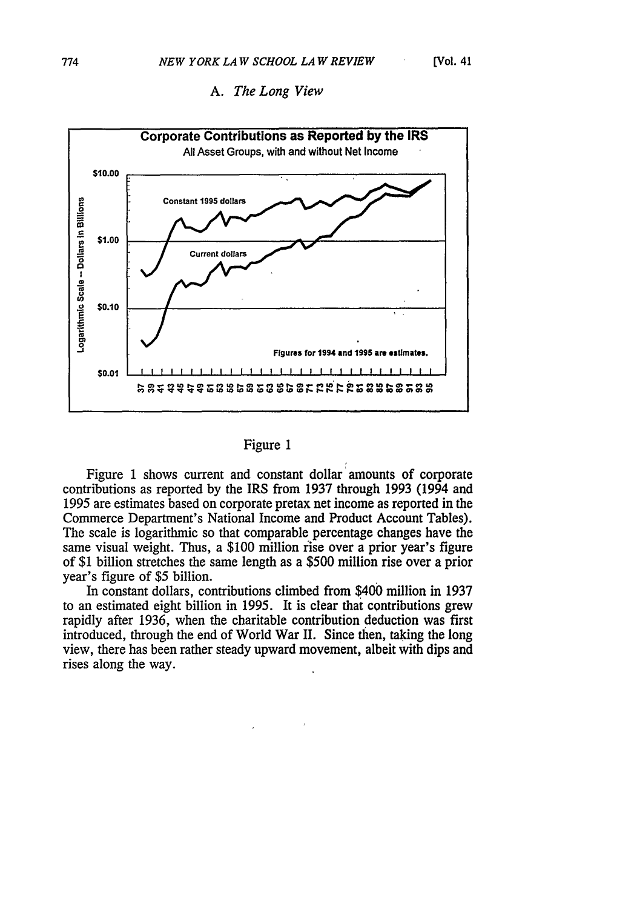

## *A. The Long View*

## Figure 1

Figure 1 shows current and constant dollar amounts of corporate contributions as reported by the IRS from 1937 through 1993 (1994 and 1995 are estimates based on corporate pretax net income as reported in the Commerce Department's National Income and Product Account Tables). The scale is logarithmic so that comparable percentage changes have the same visual weight. Thus, a \$100 million rise over a prior year's figure of \$1 billion stretches the same length as a \$500 million rise over a prior year's figure of \$5 billion.

In constant dollars, contributions climbed from \$400 million in 1937 to an estimated eight billion in 1995. It is clear that contributions grew rapidly after 1936, when the charitable contribution deduction was first introduced, through the end of World War II. Since then, taking the long view, there has been rather steady upward movement, albeit with dips and rises along the way.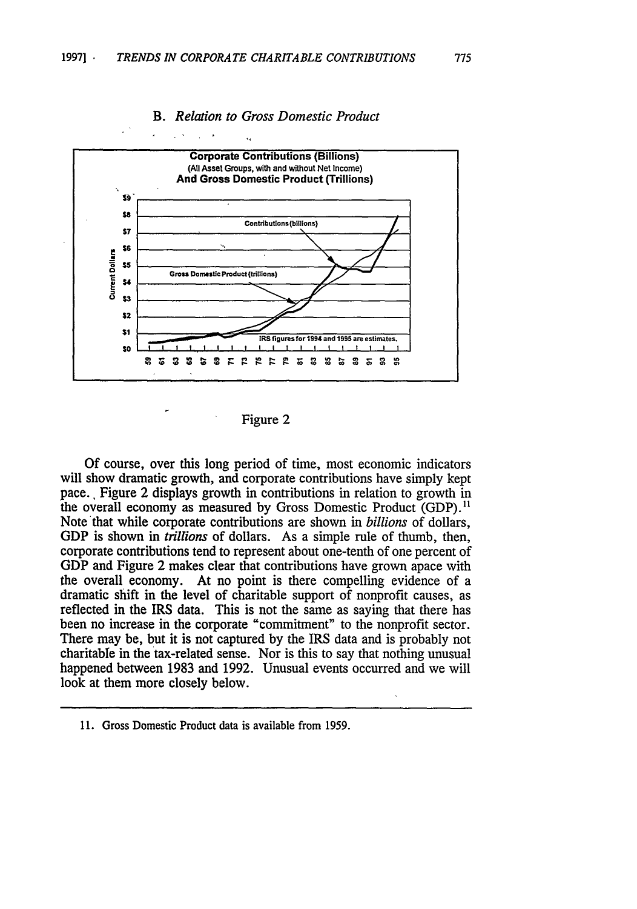

## *B. Relation to Gross Domestic Product*

Of course, over this long period of time, most economic indicators will show dramatic growth, and corporate contributions have simply kept pace., Figure 2 displays growth in contributions in relation to growth in the overall economy as measured by Gross Domestic Product (GDP).<sup>11</sup> Note that while corporate contributions are shown in *billions* of dollars, GDP is shown in *trillions* of dollars. As a simple rule of thumb, then, corporate contributions tend to represent about one-tenth of one percent of GDP and Figure 2 makes clear that contributions have grown apace with the overall economy. At no point is there compelling evidence of a dramatic shift in the level of charitable support of nonprofit causes, as reflected in the IRS data. This is not the same as saying that there has been no increase in the corporate "commitment" to the nonprofit sector. There may be, but it is not captured by the IRS data and is probably not charitable in the tax-related sense. Nor is this to say that nothing unusual happened between 1983 and 1992. Unusual events occurred and we will look at them more closely below.

Figure 2

**<sup>11.</sup>** Gross Domestic Product data is available from 1959.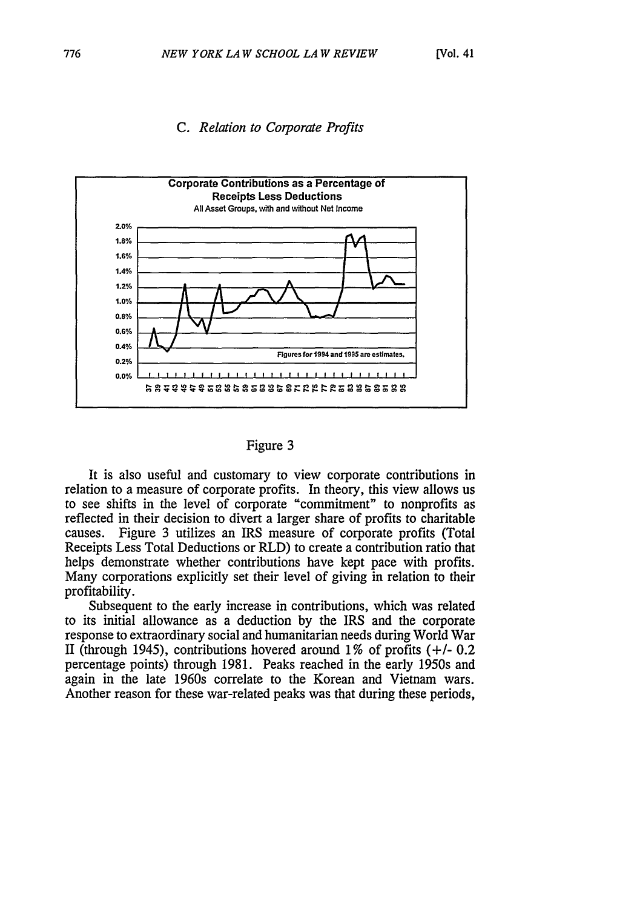

# *C. Relation to Corporate Profits*

## Figure 3

It is also useful and customary to view corporate contributions in relation to a measure of corporate profits. In theory, this view allows us to see shifts in the level of corporate "commitment" to nonprofits as reflected in their decision to divert a larger share of profits to charitable causes. Figure 3 utilizes an IRS measure of corporate profits (Total Receipts Less Total Deductions or RLD) to create a contribution ratio that helps demonstrate whether contributions have kept pace with profits. Many corporations explicitly set their level of giving in relation to their profitability.

Subsequent to the early increase in contributions, which was related to its initial allowance as a deduction by the IRS and the corporate response to extraordinary social and humanitarian needs during World War II (through 1945), contributions hovered around **1** % of profits **(+/-** 0.2 percentage points) through 1981. Peaks reached in the early 1950s and again in the late 1960s correlate to the Korean and Vietnam wars. Another reason for these war-related peaks was that during these periods,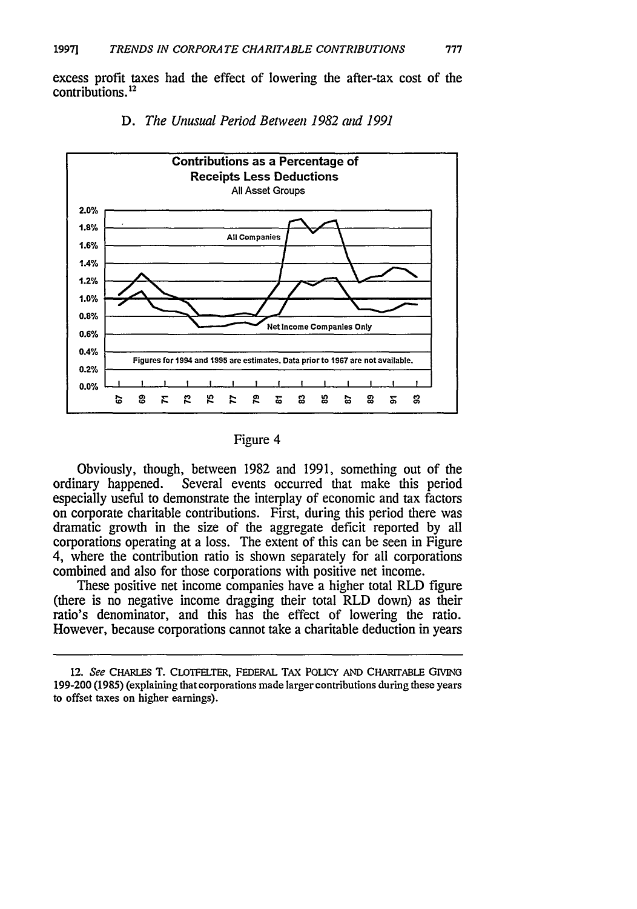excess profit taxes had the effect of lowering the after-tax cost of the contributions.<sup>12</sup>





Obviously, though, between 1982 and 1991, something out of the ordinary happened. Several events occurred that make this period especially useful to demonstrate the interplay of economic and tax factors on corporate charitable contributions. First, during this period there was dramatic growth in the size of the aggregate deficit reported by all corporations operating at a loss. The extent of this can be seen in Figure 4, where the contribution ratio is shown separately for all corporations combined and also for those corporations with positive net income.

These positive net income companies have a higher total RLD figure (there is no negative income dragging their total RLD down) as their ratio's denominator, and this has the effect of lowering the ratio. However, because corporations cannot take a charitable deduction in years

Figure 4

<sup>12.</sup> *See* CHARLES T. CLOTFELTER, FEDERAL TAX POLICY AND CHARIrABLE GIvING 199-200(1985) (explaining that corporations made larger contributions during these years to offset taxes on higher earnings).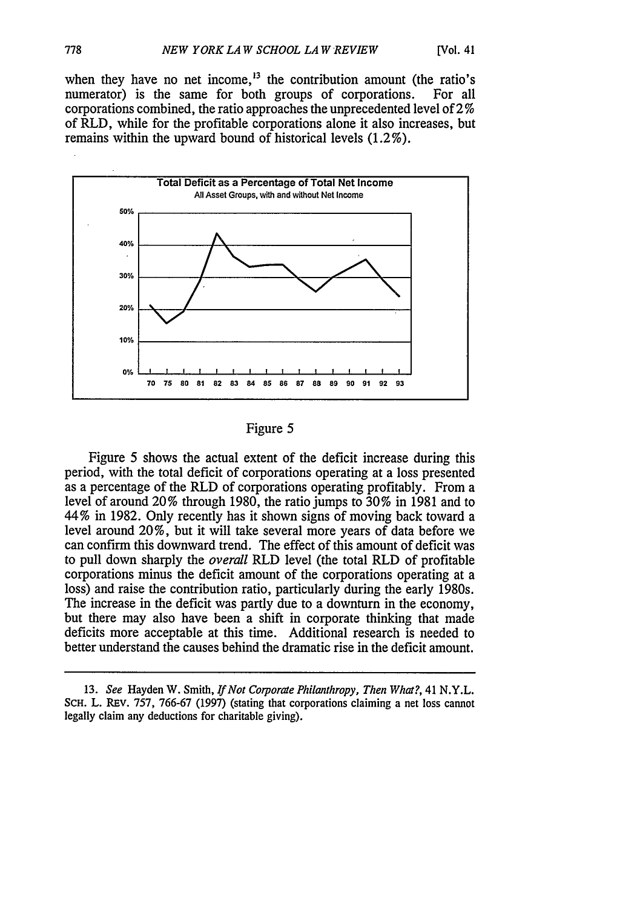when they have no net income,  $13$  the contribution amount (the ratio's numerator) is the same for both groups of corporations. For all numerator) is the same for both groups of corporations. corporations combined, the ratio approaches the unprecedented level of 2 **%** of RLD, while for the profitable corporations alone it also increases, but remains within the upward bound of historical levels (1.2%).



Figure 5

Figure 5 shows the actual extent of the deficit increase during this period, with the total deficit of corporations operating at a loss presented as a percentage of the RLD of corporations operating profitably. From a level of around 20% through 1980, the ratio jumps to 30% in 1981 and to 44% in 1982. Only recently has it shown signs of moving back toward a level around 20%, but it will take several more years of data before we can confirm this downward trend. The effect of this amount of deficit was to pull down sharply the *overall* RLD level (the total RLD of profitable corporations minus the deficit amount of the corporations operating at a loss) and raise the contribution ratio, particularly during the early 1980s. The increase in the deficit was partly due to a downturn in the economy, but there may also have been a shift in corporate thinking that made deficits more acceptable at this time. Additional research is needed to better understand the causes behind the dramatic rise in the deficit amount.

<sup>13.</sup> *See* Hayden W. Smith, *If Not Corporate Philanthropy, Then What?,* 41 N.Y.L. ScH. L. REv. 757, 766-67 (1997) (stating that corporations claiming a net loss cannot legally claim any deductions for charitable giving).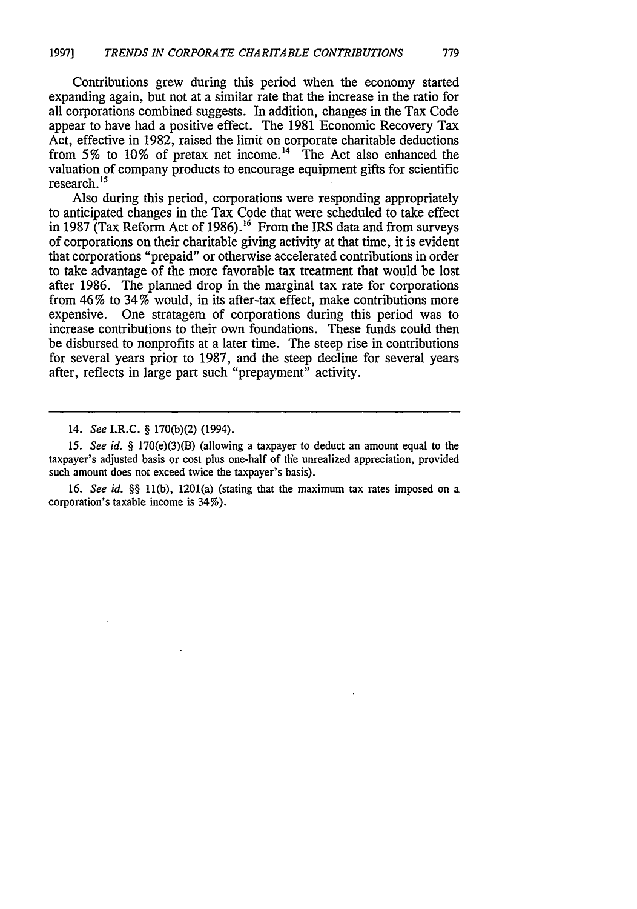Contributions grew during this period when the economy started expanding again, but not at a similar rate that the increase in the ratio for all corporations combined suggests. In addition, changes in the Tax Code appear to have had a positive effect. The 1981 Economic Recovery Tax Act, effective in **1982,** raised the limit on corporate charitable deductions from **5%** to **10%** of pretax net income.14 The Act also enhanced the valuation of company products to encourage equipment gifts for scientific research.<sup>15</sup>

Also during this period, corporations were responding appropriately to anticipated changes in the Tax Code that were scheduled to take effect in 1987 (Tax Reform Act of 1986). **16** From the IRS data and from surveys of corporations on their charitable giving activity at that time, it is evident that corporations "prepaid" or otherwise accelerated contributions in order to take advantage of the more favorable tax treatment that would be lost after 1986. The planned drop in the marginal tax rate for corporations from 46% to 34% would, in its after-tax effect, make contributions more expensive. One stratagem of corporations during this period was to increase contributions to their own foundations. These funds could then be disbursed to nonprofits at a later time. The steep rise in contributions for several years prior to 1987, and the steep decline for several years after, reflects in large part such "prepayment" activity.

16. *See id. §§* 11(b), 1201(a) (stating that the maximum tax rates imposed on a corporation's taxable income is 34%).

<sup>14.</sup> *See* I.R.C. § 170(b)(2) (1994).

*<sup>15.</sup> See id.* § 170(e)(3)(B) (allowing a taxpayer to deduct an amount equal to the taxpayer's adjusted basis or cost plus one-half of the unrealized appreciation, provided such amount does not exceed twice the taxpayer's basis).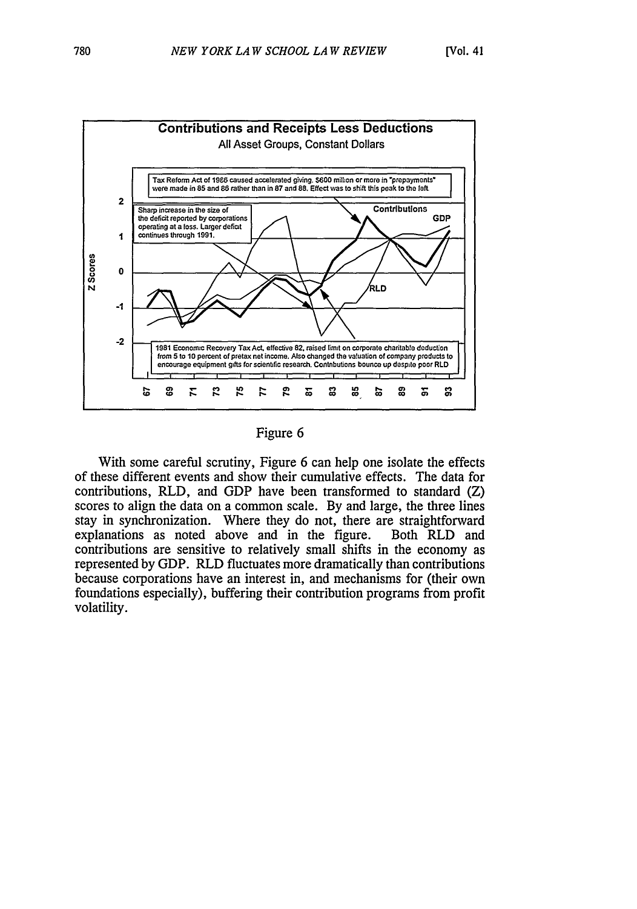

Figure 6

With some careful scrutiny, Figure 6 can help one isolate the effects of these different events and show their cumulative effects. The data for contributions, RLD, and GDP have been transformed to standard (Z) scores to align the data on a common scale. By and large, the three lines stay in synchronization. Where they do not, there are straightforward explanations as noted above and in the figure. Both RLD and contributions are sensitive to relatively small shifts in the economy as represented by GDP. RLD fluctuates more dramatically than contributions because corporations have an interest in, and mechanisms for (their own foundations especially), buffering their contribution programs from profit volatility.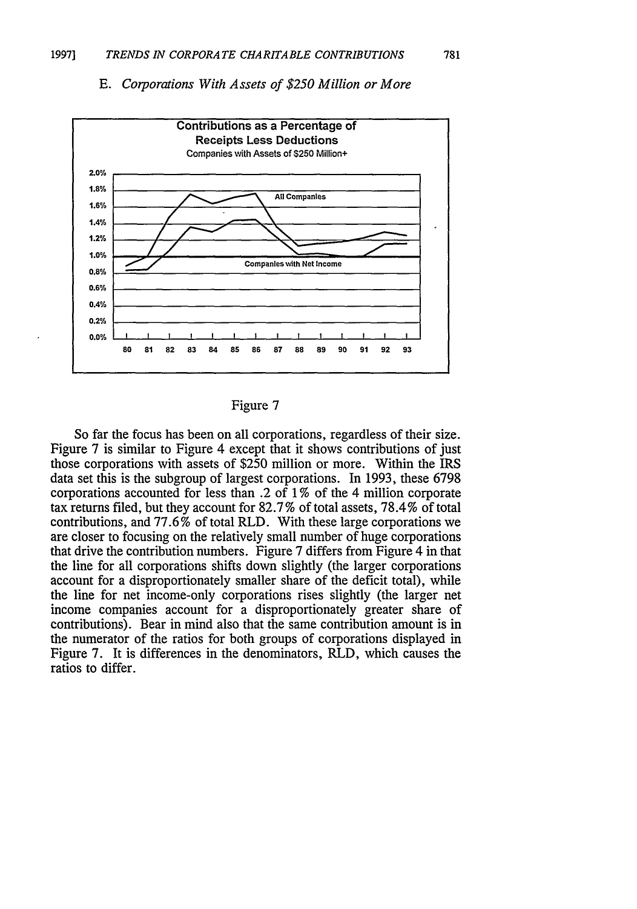

781



## Figure 7

So far the focus has been on all corporations, regardless of their size. Figure 7 is similar to Figure 4 except that it shows contributions of just those corporations with assets of \$250 million or more. Within the IRS data set this is the subgroup of largest corporations. In 1993, these 6798 corporations accounted for less than .2 of 1 % of the 4 million corporate tax returns filed, but they account for 82.7 % of total assets, 78.4 % of total contributions, and 77.6 % of total RLD. With these large corporations we are closer to focusing on the relatively small number of huge corporations that drive the contribution numbers. Figure 7 differs from Figure 4 in that the line for all corporations shifts down slightly (the larger corporations account for a disproportionately smaller share of the deficit total), while the line for net income-only corporations rises slightly (the larger net income companies account for a disproportionately greater share of contributions). Bear in mind also that the same contribution amount is in the numerator of the ratios for both groups of corporations displayed in Figure 7. It is differences in the denominators, RLD, which causes the ratios to differ.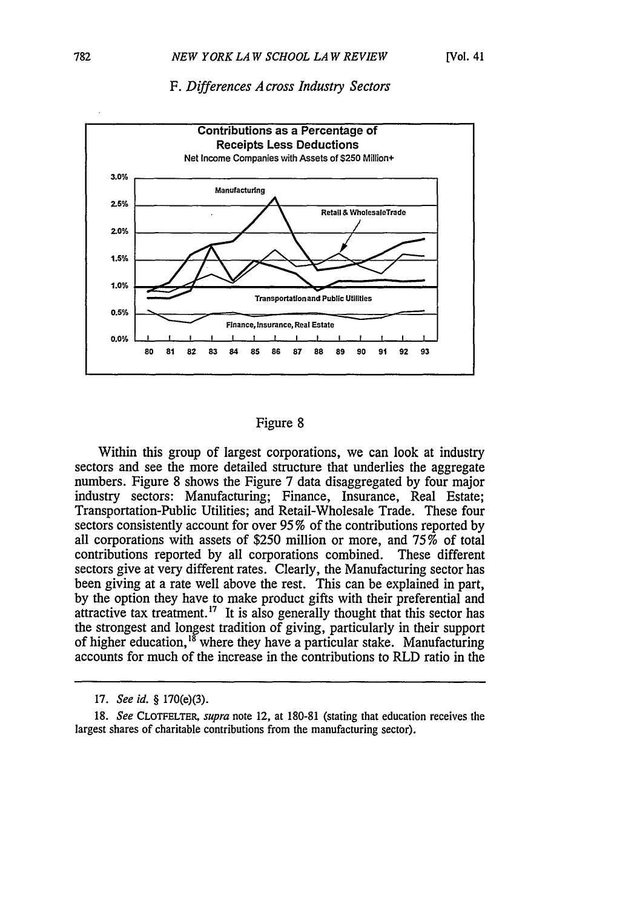## *F. Differences A cross Industry Sectors*



## Figure 8

Within this group of largest corporations, we can look at industry sectors and see the more detailed structure that underlies the aggregate numbers. Figure 8 shows the Figure 7 data disaggregated by four major industry sectors: Manufacturing; Finance, Insurance, Real Estate; Transportation-Public Utilities; and Retail-Wholesale Trade. These four sectors consistently account for over 95 % of the contributions reported by all corporations with assets of \$250 million or more, and 75% of total contributions reported by all corporations combined. These different sectors give at very different rates. Clearly, the Manufacturing sector has been giving at a rate well above the rest. This can be explained in part, by the option they have to make product gifts with their preferential and attractive tax treatment.<sup>17</sup> It is also generally thought that this sector has the strongest and longest tradition of giving, particularly in their support of higher education,  $^{18}$  where they have a particular stake. Manufacturing accounts for much of the increase in the contributions to RLD ratio in the

<sup>17.</sup> *See id.* § 170(e)(3).

<sup>18.</sup> *See* CLOTFELTER, *supra* note 12, at 180-81 (stating that education receives the largest shares of charitable contributions from the manufacturing sector).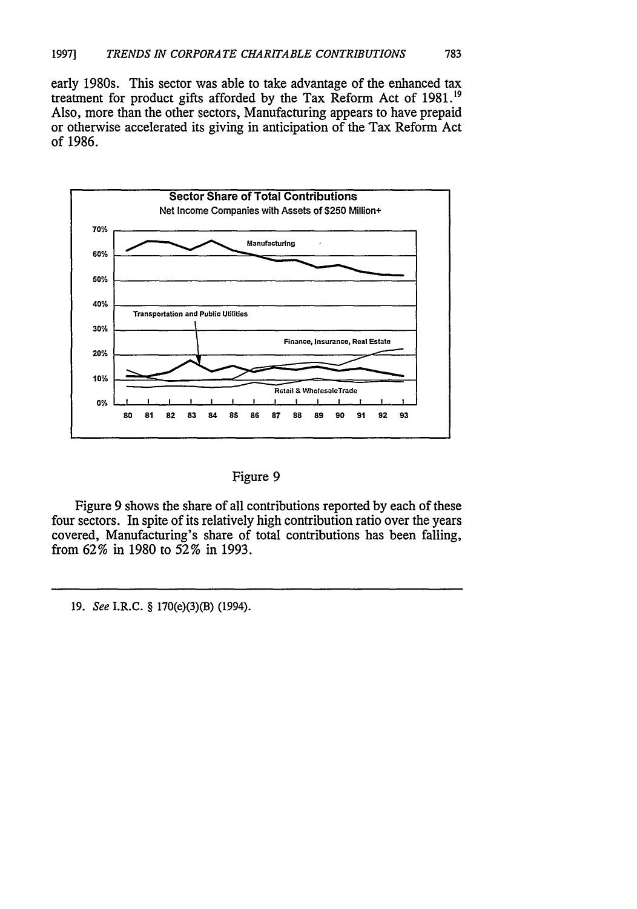early 1980s. This sector was able to take advantage of the enhanced tax treatment for product gifts afforded **by** the Tax Reform Act of **1981.19** Also, more than the other sectors, Manufacturing appears to have prepaid or otherwise accelerated its giving in anticipation of the Tax Reform Act of **1986.**





Figure 9 shows the share of all contributions reported by each of these four sectors. In spite of its relatively high contribution ratio over the years covered, Manufacturing's share of total contributions has been falling, from 62% in 1980 to 52% in 1993.

19. *See* I.R.C. § 170(e)(3)(B) (1994).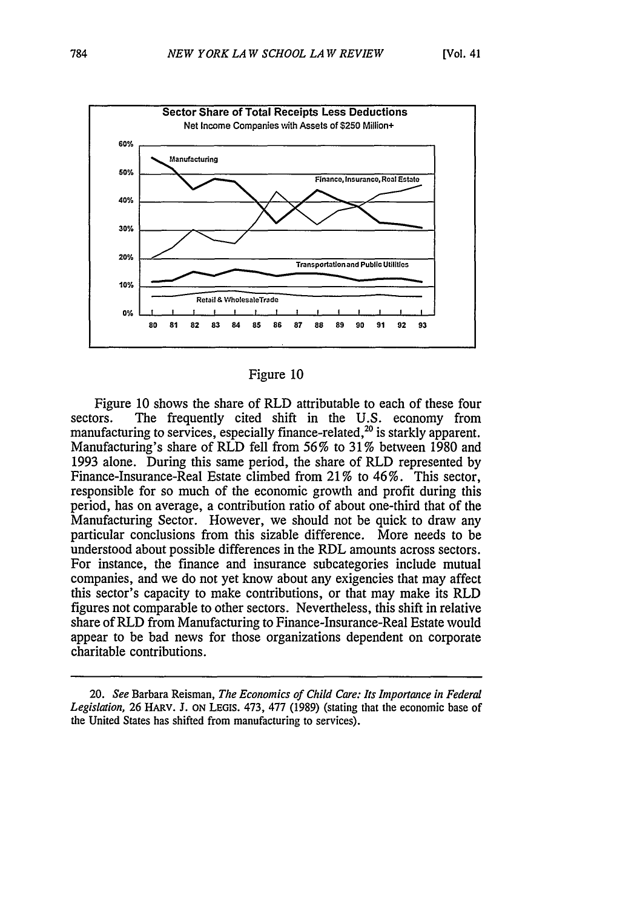

#### Figure **10**

Figure 10 shows the share of RLD attributable to each of these four sectors. The frequently cited shift in the U.S. economy from manufacturing to services, especially finance-related,<sup>20</sup> is starkly apparent. Manufacturing's share of RLD fell from 56% to 31% between 1980 and 1993 alone. During this same period, the share of RLD represented by Finance-Insurance-Real Estate climbed from 21 % to 46%. This sector, responsible for so much of the economic growth and profit during this period, has on average, a contribution ratio of about one-third that of the Manufacturing Sector. However, we should not be quick to draw any particular conclusions from this sizable difference. More needs to be understood about possible differences in the RDL amounts across sectors. For instance, the finance and insurance subcategories include mutual companies, and we do not yet know about any exigencies that may affect this sector's capacity to make contributions, or that may make its RLD figures not comparable to other sectors. Nevertheless, this shift in relative share of RLD from Manufacturing to Finance-Insurance-Real Estate would appear to be bad news for those organizations dependent on corporate charitable contributions.

<sup>20.</sup> *See* Barbara Reisman, *The Economics of Child Care: Its Importance in Federal Legislation,* 26 HARv. **J.** ON LEGIS. 473, 477 (1989) (stating that the economic base of the United States has shifted from manufacturing to services).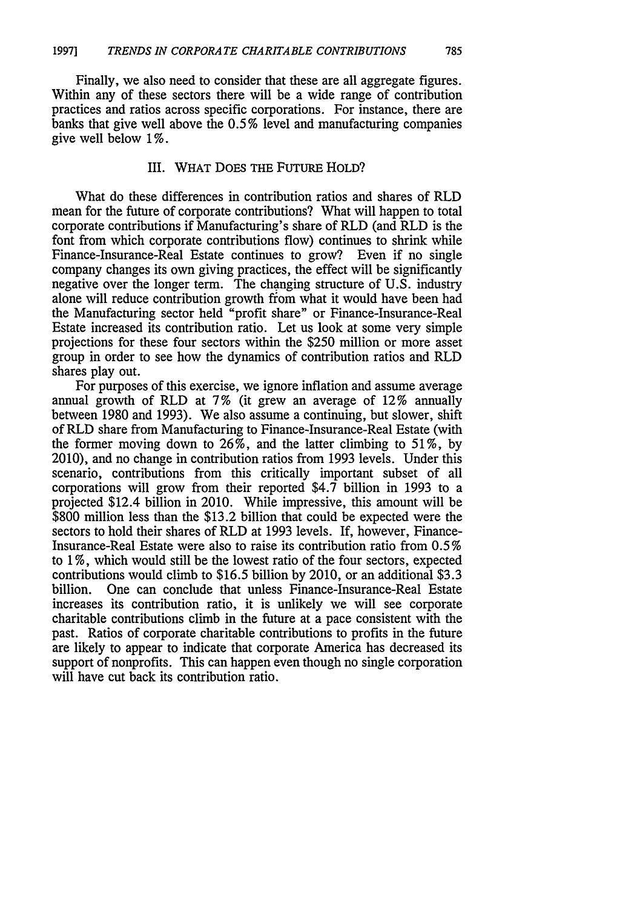Finally, we also need to consider that these are all aggregate figures. Within any of these sectors there will be a wide range of contribution practices and ratios across specific corporations. For instance, there are banks that give well above the **0.5** % level and manufacturing companies give well below 1%.

## III. WHAT DOES THE FUTURE HOLD?

What do these differences in contribution ratios and shares of RLD mean for the future of corporate contributions? What will happen to total corporate contributions if Manufacturing's share of RLD (and RLD is the font from which corporate contributions flow) continues to shrink while Finance-Insurance-Real Estate continues to grow? Even if no single company changes its own giving practices, the effect will be significantly negative over the longer term. The changing structure of U.S. industry alone will reduce contribution growth from what it would have been had the Manufacturing sector held "profit share" or Finance-Insurance-Real Estate increased its contribution ratio. Let us look at some very simple projections for these four sectors within the \$250 million or more asset group in order to see how the dynamics of contribution ratios and RLD shares play out.

For purposes of this exercise, we ignore inflation and assume average annual growth of RLD at 7% (it grew an average of 12% annually between 1980 and 1993). We also assume a continuing, but slower, shift of RLD share from Manufacturing to Finance-Insurance-Real Estate (with the former moving down to  $26\%$ , and the latter climbing to 51%, by 2010), and no change in contribution ratios from 1993 levels. Under this scenario, contributions from this critically important subset of all corporations will grow from their reported \$4.7 billion in 1993 to a projected \$12.4 billion in 2010. While impressive, this amount will be \$800 million less than the \$13.2 billion that could be expected were the sectors to hold their shares of RLD at 1993 levels. If, however, Finance-Insurance-Real Estate were also to raise its contribution ratio from 0.5% to 1 %, which would still be the lowest ratio of the four sectors, expected contributions would climb to \$16.5 billion by 2010, or an additional \$3.3 billion. One can conclude that unless Finance-Insurance-Real Estate increases its contribution ratio, it is unlikely we will see corporate charitable contributions climb in the future at a pace consistent with the past. Ratios of corporate charitable contributions to profits in the future are likely to appear to indicate that corporate America has decreased its support of nonprofits. This can happen even though no single corporation will have cut back its contribution ratio.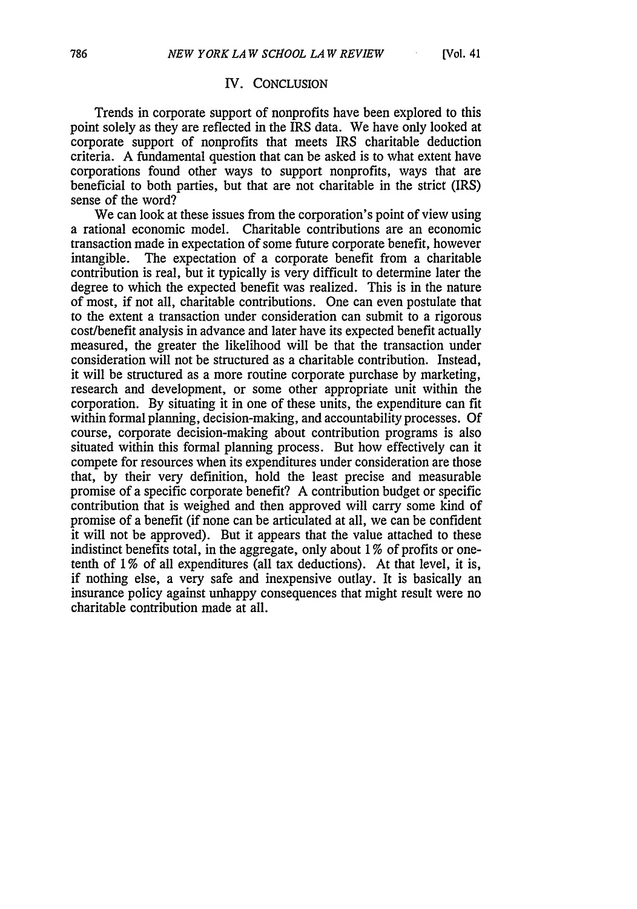## IV. CONCLUSION

Trends in corporate support of nonprofits have been explored to this point solely as they are reflected in the IRS data. We have only looked at corporate support of nonprofits that meets IRS charitable deduction criteria. A fundamental question that can be asked is to what extent have corporations found other ways to support nonprofits, ways that are beneficial to both parties, but that are not charitable in the strict (IRS) sense of the word?

We can look at these issues from the corporation's point of view using a rational economic model. Charitable contributions are an economic transaction made in expectation of some future corporate benefit, however intangible. The expectation of a corporate benefit from a charitable contribution is real, but it typically is very difficult to determine later the degree to which the expected benefit was realized. This is in the nature of most, if not all, charitable contributions. One can even postulate that to the extent a transaction under consideration can submit to a rigorous cost/benefit analysis in advance and later have its expected benefit actually measured, the greater the likelihood will be that the transaction under consideration will not be structured as a charitable contribution. Instead, it will be structured as a more routine corporate purchase by marketing, research and development, or some other appropriate unit within the corporation. By situating it in one of these units, the expenditure can fit within formal planning, decision-making, and accountability processes. Of course, corporate decision-making about contribution programs is also situated within this formal planning process. But how effectively can it compete for resources when its expenditures under consideration are those that, by their very definition, hold the least precise and measurable promise of a specific corporate benefit? A contribution budget or specific contribution that is weighed and then approved will carry some kind of promise of a benefit (if none can be articulated at all, we can be confident it will not be approved). But it appears that the value attached to these indistinct benefits total, in the aggregate, only about 1% of profits or onetenth of 1% of all expenditures (all tax deductions). At that level, it is, if nothing else, a very safe and inexpensive outlay. It is basically an insurance policy against unhappy consequences that might result were no charitable contribution made at all.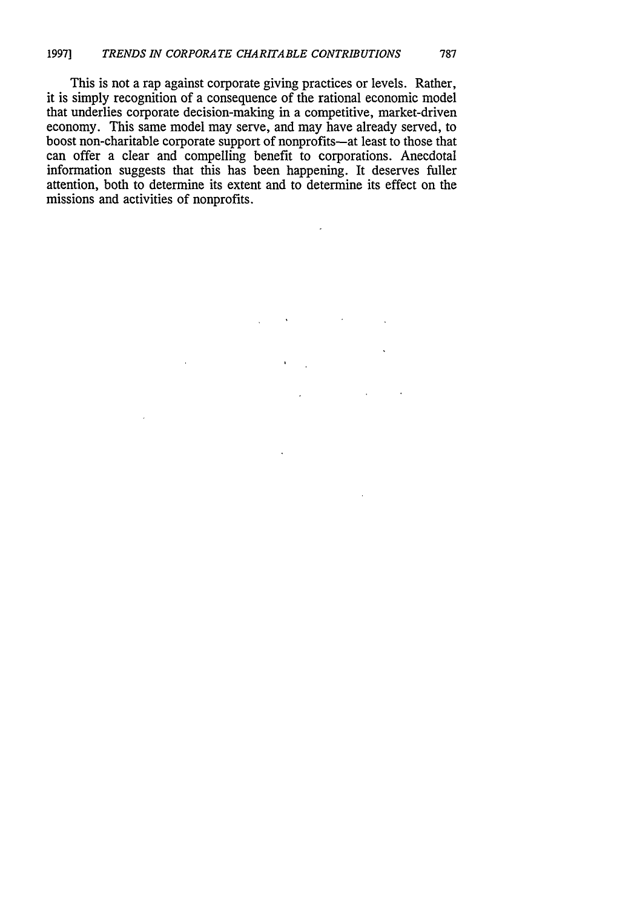This is not a rap against corporate giving practices or levels. Rather, it is simply recognition of a consequence of the rational economic model that underlies corporate decision-making in a competitive, market-driven economy. This same model may serve, and may have already served, to boost non-charitable corporate support of nonprofits-at least to those that can offer a clear and compelling benefit to corporations. Anecdotal information suggests that this has been happening. It deserves fuller attention, both to determine its extent and to determine its effect on the missions and activities of nonprofits.

 $\overline{\phantom{a}}$